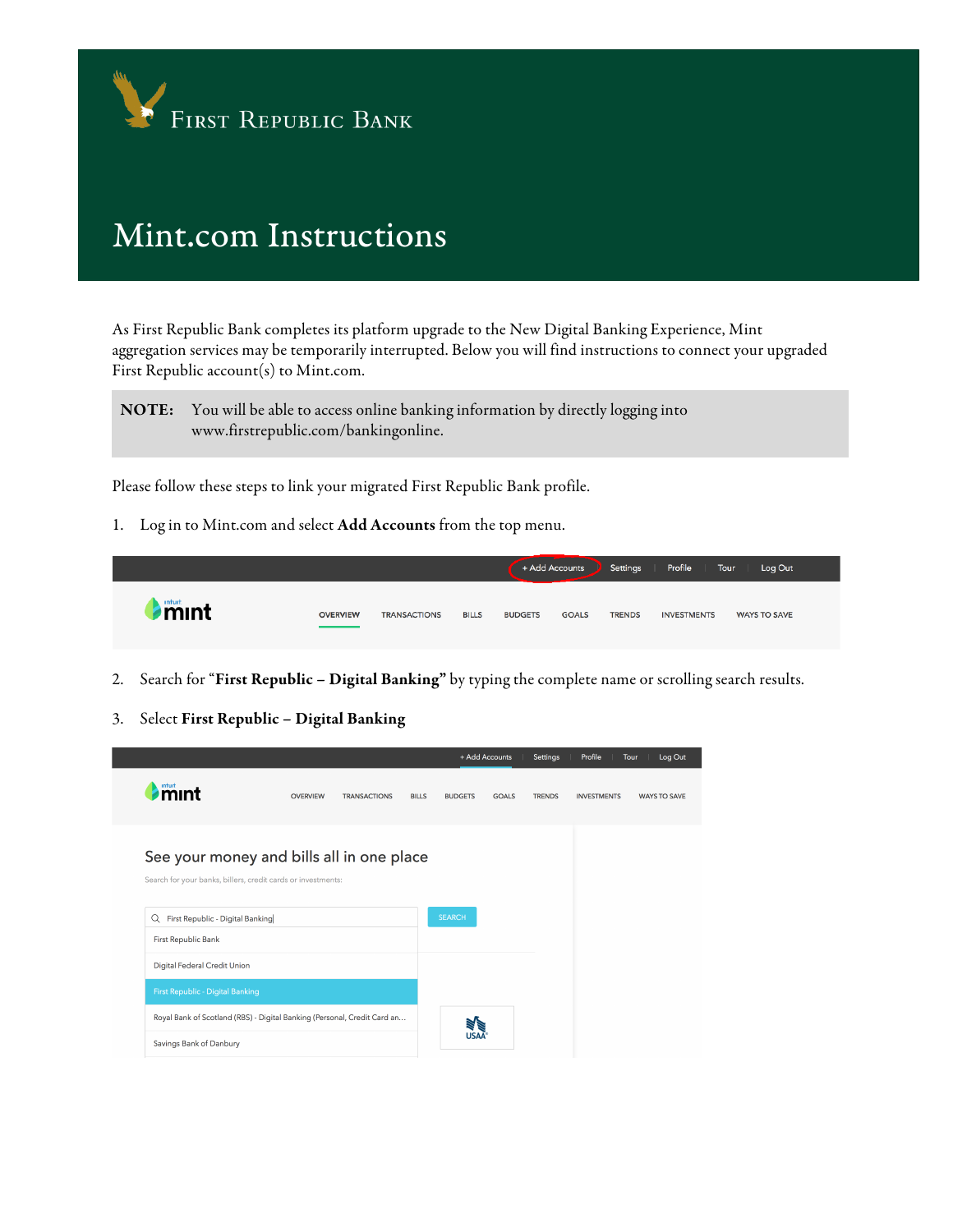

## Mint.com Instructions

As First Republic Bank completes its platform upgrade to the New Digital Banking Experience, Mint aggregation services may be temporarily interrupted. Below you will find instructions to connect your upgraded First Republic account(s) to Mint.com.

NOTE: You will be able to access online banking information by directly logging into www.firstrepublic.com/bankingonline.

Please follow these steps to link your migrated First Republic Bank profile.

1. Log in to Mint.com and select Add Accounts from the top menu.



- 2. Search for "First Republic Digital Banking" by typing the complete name or scrolling search results.
- 3. Select First Republic Digital Banking

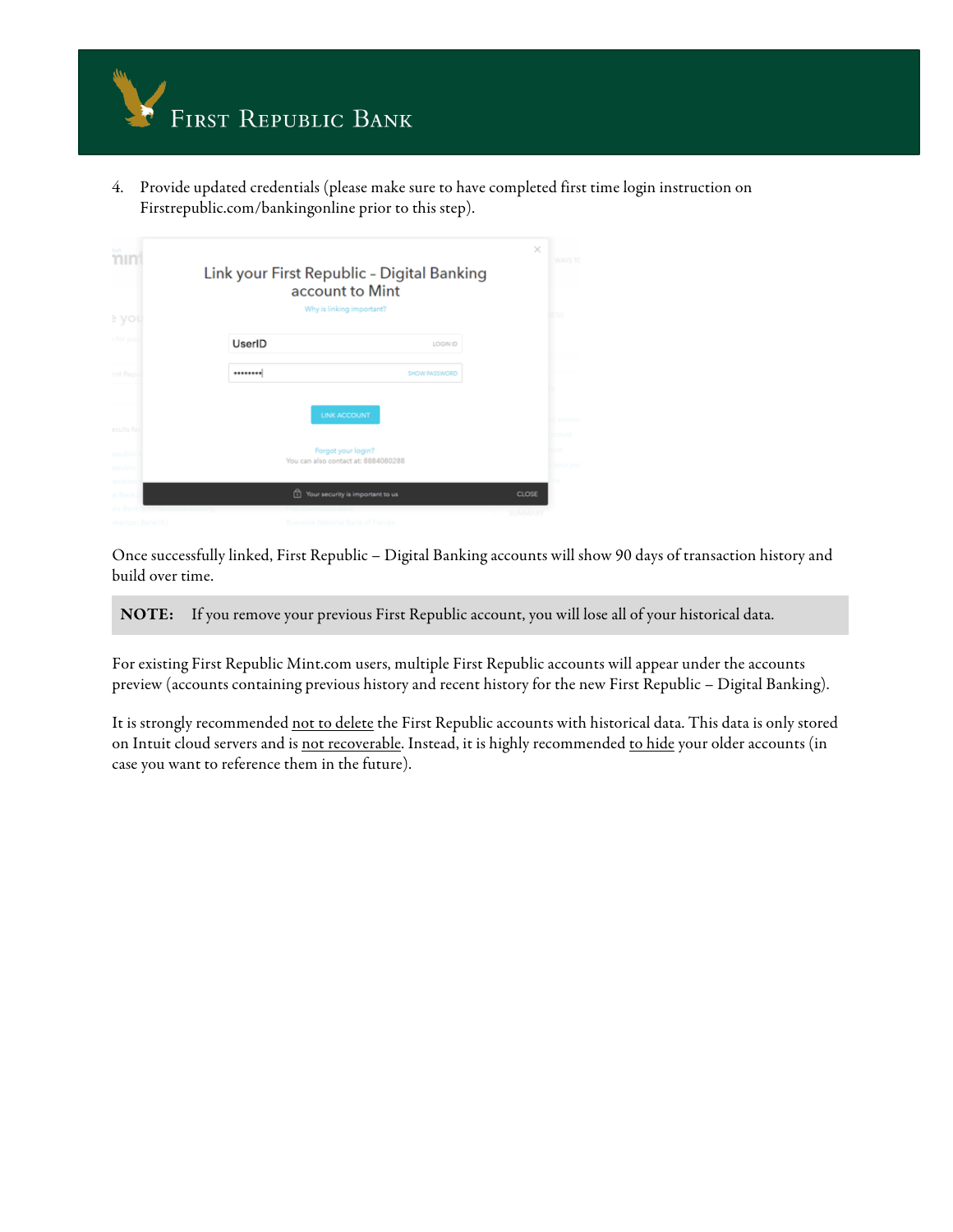

4. Provide updated credentials (please make sure to have completed first time login instruction on Firstrepublic.com/bankingonline prior to this step).

| <b>Burt</b><br>mını |        | Link your First Republic - Digital Banking<br>account to Mint<br>Why is linking important? | $\times$<br><b>WAYS</b> |
|---------------------|--------|--------------------------------------------------------------------------------------------|-------------------------|
| e you               |        |                                                                                            | ESS                     |
|                     | UserID | <b>LOGIN ID</b>                                                                            |                         |
| inst Reini          |        | <b>SHOW PASSWORD</b>                                                                       |                         |
|                     |        | <b>LINK ACCOUNT</b>                                                                        |                         |
| esults fol          |        |                                                                                            |                         |
| epubli              |        | Forgot your login?                                                                         | lunt                    |
| epubli              |        | You can also contact at: 8884080288                                                        |                         |
|                     |        |                                                                                            |                         |
| <b>Bank</b>         | 肏      | Your security is important to us                                                           | <b>CLOSE</b>            |
|                     |        | Riverside National Bank of Florida                                                         | SUMMAR                  |

Once successfully linked, First Republic – Digital Banking accounts will show 90 days of transaction history and build over time.

NOTE: If you remove your previous First Republic account, you will lose all of your historical data.

For existing First Republic Mint.com users, multiple First Republic accounts will appear under the accounts preview (accounts containing previous history and recent history for the new First Republic – Digital Banking).

It is strongly recommended not to delete the First Republic accounts with historical data. This data is only stored on Intuit cloud servers and is not recoverable. Instead, it is highly recommended to hide your older accounts (in case you want to reference them in the future).